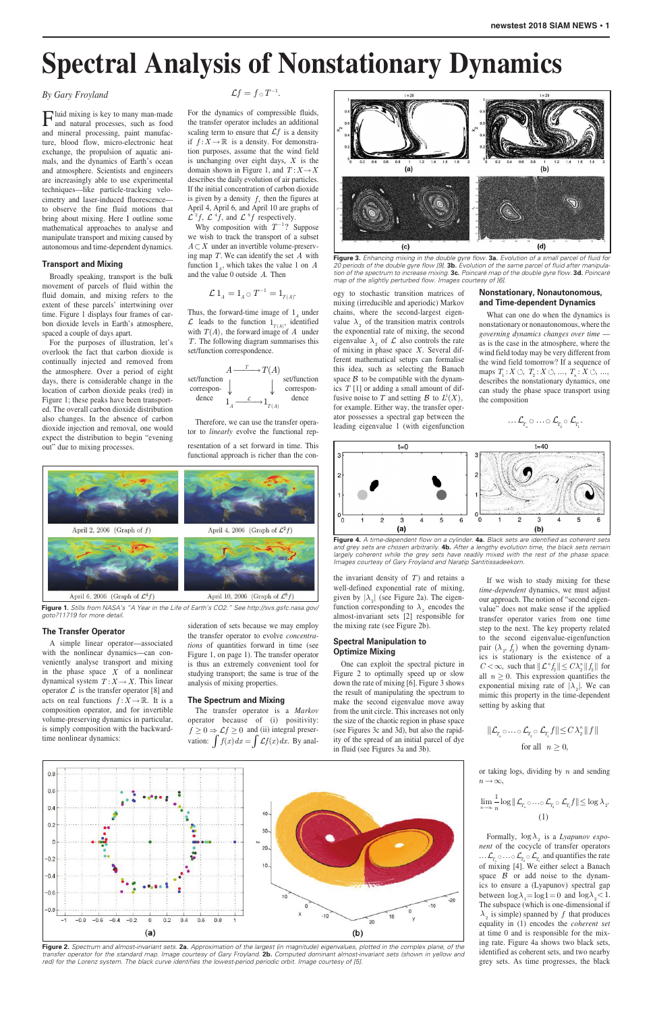## *By Gary Froyland*

Fluid mixing is key to many man-made and natural processes, such as food and mineral processing, paint manufacture, blood flow, micro-electronic heat exchange, the propulsion of aquatic animals, and the dynamics of Earth's ocean and atmosphere. Scientists and engineers are increasingly able to use experimental techniques—like particle-tracking velocimetry and laser-induced fluorescence to observe the fine fluid motions that bring about mixing. Here I outline some mathematical approaches to analyse and manipulate transport and mixing caused by autonomous and time-dependent dynamics.

#### **Transport and Mixing**

Broadly speaking, transport is the bulk movement of parcels of fluid within the fluid domain, and mixing refers to the extent of these parcels' intertwining over time. Figure 1 displays four frames of carbon dioxide levels in Earth's atmosphere, spaced a couple of days apart.

For the dynamics of compressible fluids, the transfer operator includes an additional scaling term to ensure that  $Lf$  is a density if  $f: X \to \mathbb{R}$  is a density. For demonstration purposes, assume that the wind field is unchanging over eight days, *X* is the domain shown in Figure 1, and  $T: X \rightarrow X$ describes the daily evolution of air particles. If the initial concentration of carbon dioxide is given by a density  $f$ , then the figures at April 4, April 6, and April 10 are graphs of  $\mathcal{L}^2 f$ ,  $\mathcal{L}^4 f$ , and  $\mathcal{L}^8 f$  respectively.

For the purposes of illustration, let's overlook the fact that carbon dioxide is continually injected and removed from the atmosphere. Over a period of eight days, there is considerable change in the location of carbon dioxide peaks (red) in Figure 1; these peaks have been transported. The overall carbon dioxide distribution also changes. In the absence of carbon dioxide injection and removal, one would expect the distribution to begin "evening out" due to mixing processes.

Why composition with  $T^{-1}$ ? Suppose we wish to track the transport of a subset  $A \subset X$  under an invertible volume-preserving map *T*. We can identify the set *A* with function  $1_A$ , which takes the value 1 on *A* and the value 0 outside *A*. Then

#### **The Transfer Operator**

Thus, the forward-time image of  $1_A$  under  $\mathcal{L}$  leads to the function  $1_{T(A)}$ , identified with  $T(A)$ , the forward image of  $A$  under *T*. The following diagram summarises this set/function correspondence.

A simple linear operator—associated with the nonlinear dynamics—can conveniently analyse transport and mixing in the phase space *X* of a nonlinear dynamical system  $T: X \to X$ . This linear operator  $\mathcal L$  is the transfer operator [8] and acts on real functions  $f: X \to \mathbb{R}$ . It is a composition operator, and for invertible volume-preserving dynamics in particular, is simply composition with the backwardtime nonlinear dynamics:

The transfer operator is a *Markov* operator because of (i) positivity:  $f \geq 0 \Rightarrow \mathcal{L}f \geq 0$  and (ii) integral preservation:  $\int f(x) dx = \int \mathcal{L}f(x) dx$ . By anal-

$$
\mathcal{L}f=f\,\mathrm{d}\,T^{-1}
$$

.

the invariant density of  $T$ ) and retains a well-defined exponential rate of mixing, given by  $|\lambda_2|$  (see Figure 2a). The eigenfunction corresponding to  $\lambda_2$  encodes the almost-invariant sets [2] responsible for the mixing rate (see Figure 2b).

$$
\mathcal{L} 1_A = 1_A \circ T^{-1} = 1_{T(A)}.
$$



or taking logs, dividing by *n* and sending  $n \rightarrow \infty$ ,

Therefore, we can use the transfer operator to *linearly* evolve the functional representation of a set forward in time. This functional approach is richer than the con-

sideration of sets because we may employ the transfer operator to evolve *concentrations* of quantities forward in time (see Figure 1, on page 1). The transfer operator is thus an extremely convenient tool for studying transport; the same is true of the analysis of mixing properties.

> Formally,  $log \lambda$  is a *Lyapunov exponent* of the cocycle of transfer operators  $\ldots$   $\mathcal{L}_{T_n} \circ \ldots \circ \mathcal{L}_{T_2} \circ \mathcal{L}_{T_1}$  and quantifies the rate of mixing  $[4]$ . We either select a Banach space  $\beta$  or add noise to the dynamics to ensure a (Lyapunov) spectral gap between  $\log \lambda_1 = \log 1 = 0$  and  $\log \lambda_2 < 1$ . The subspace (which is one-dimensional if  $\lambda$ <sub>2</sub> is simple) spanned by *f* that produces equality in (1) encodes the *coherent set*  at time 0 and is responsible for the mixing rate. Figure 4a shows two black sets, identified as coherent sets, and two nearby grey sets. As time progresses, the black

## **The Spectrum and Mixing**

ogy to stochastic transition matrices of mixing (irreducible and aperiodic) Markov chains, where the second-largest eigenvalue  $\lambda_2$  of the transition matrix controls the exponential rate of mixing, the second eigenvalue  $\lambda_2$  of  $\mathcal L$  also controls the rate of mixing in phase space *X*. Several different mathematical setups can formalise this idea, such as selecting the Banach space  $\beta$  to be compatible with the dynamics *T* [1] or adding a small amount of diffusive noise to *T* and setting  $\mathcal{B}$  to  $L^1(X)$ , for example. Either way, the transfer operator possesses a spectral gap between the leading eigenvalue 1 (with eigenfunction

# **Spectral Manipulation to Optimize Mixing**

One can exploit the spectral picture in Figure 2 to optimally speed up or slow down the rate of mixing [6]. Figure 3 shows the result of manipulating the spectrum to make the second eigenvalue move away from the unit circle. This increases not only the size of the chaotic region in phase space (see Figures 3c and 3d), but also the rapidity of the spread of an initial parcel of dye

in fluid (see Figures 3a and 3b).



# **Nonstationary, Nonautonomous, and Time-dependent Dynamics**

What can one do when the dynamics is nonstationary or nonautonomous, where the *governing dynamics changes over time*  as is the case in the atmosphere, where the wind field today may be very different from the wind field tomorrow? If a sequence of maps  $T_1: X \circlearrowleft, T_2: X \circlearrowleft, ..., T_n: X \circlearrowleft, ...,$ describes the nonstationary dynamics, one can study the phase space transport using the composition

$$
\dots \mathcal{L}_{_{T_n}}\circ \dots \circ \mathcal{L}_{_{T_2}}\circ \mathcal{L}_{_{T_1}}.
$$

If we wish to study mixing for these *time-dependent* dynamics, we must adjust our approach. The notion of "second eigenvalue" does not make sense if the applied transfer operator varies from one time step to the next. The key property related to the second eigenvalue-eigenfunction pair  $(\lambda_2, f_2)$  when the governing dynamics is stationary is the existence of a  $C < \infty$ , such that  $\|\mathcal{L}^n f_{2}\| \leq C \lambda_2^n \|f_{2}\|$  for all  $n \geq 0$ . This expression quantifies the exponential mixing rate of  $|\lambda_0|$ . We can mimic this property in the time-dependent setting by asking that

$$
\|\mathcal{L}_{_{\!T_{\!\boldsymbol{n}}} \circ \ldots \circ \mathcal{L}_{_{\!T_{\!\boldsymbol{2}}} \circ} \mathcal{L}_{_{\!T_{\!\boldsymbol{1}}} }f\| \!\leq\! C\,\lambda_{\!\boldsymbol{2}}^{\boldsymbol{n}}\,\|\,f\,\|
$$

$$
\lim_{n\to\infty}\frac{1}{n}\log||\mathcal{L}_{T_n}\circ\ldots\circ\mathcal{L}_{T_2}\circ\mathcal{L}_{T_1}f||\leq\log\lambda_2.
$$
\n(1)

# **Spectral Analysis of Nonstationary Dynamics**



**Figure 1.** *Stills from NASA's "A Year in the Life of Earth's CO2." See http://svs.gsfc.nasa.gov/ goto?11719 for more detail.*

**Figure 2.** *Spectrum and almost-invariant sets.* **2a.** *Approximation of the largest (in magnitude) eigenvalues, plotted in the complex plane, of the transfer operator for the standard map. Image courtesy of Gary Froyland.* **2b.** *Computed dominant almost-invariant sets (shown in yellow and red) for the Lorenz system. The black curve identifies the lowest-period periodic orbit. Image courtesy of [5].*

for all  $n \geq 0$ ,



**Figure 3.** *Enhancing mixing in the double gyre flow.* **3a.** *Evolution of a small parcel of fluid for 20 periods of the double gyre flow [9].* **3b.** *Evolution of the same parcel of fluid after manipulation of the spectrum to increase mixing.* **3c.** *Poincaré map of the double gyre flow.* **3d.** *Poincaré map of the slightly perturbed flow. Images courtesy of [6].*



**Figure 4.** *A time-dependent flow on a cylinder.* **4a.** *Black sets are identified as coherent sets and grey sets are chosen arbitrarily.* **4b.** *After a lengthy evolution time, the black sets remain*  largely coherent while the grey sets have readily mixed with the rest of the phase space. *Images courtesy of Gary Froyland and Naratip Santitissadeekorn.*